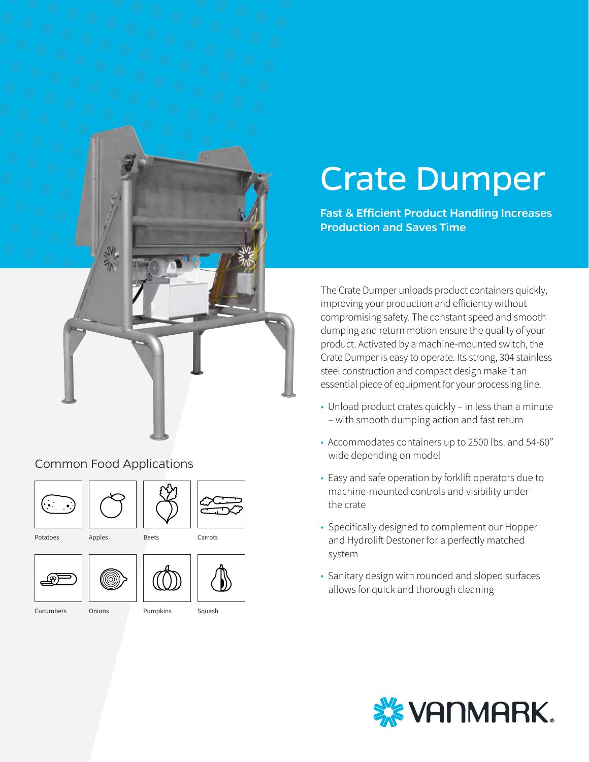

#### Common Food Applications







Potatoes

Apples Beets



Cucumbers



**Onions** 





# Crate Dumper

Fast & Efficient Product Handling Increases Production and Saves Time

The Crate Dumper unloads product containers quickly, improving your production and efficiency without compromising safety. The constant speed and smooth dumping and return motion ensure the quality of your product. Activated by a machine-mounted switch, the Crate Dumper is easy to operate. Its strong, 304 stainless steel construction and compact design make it an essential piece of equipment for your processing line.

- Unload product crates quickly in less than a minute – with smooth dumping action and fast return
- Accommodates containers up to 2500 lbs. and 54-60" wide depending on model
- Easy and safe operation by forklift operators due to machine-mounted controls and visibility under the crate
- Specifically designed to complement our Hopper and Hydrolift Destoner for a perfectly matched system
- Sanitary design with rounded and sloped surfaces allows for quick and thorough cleaning